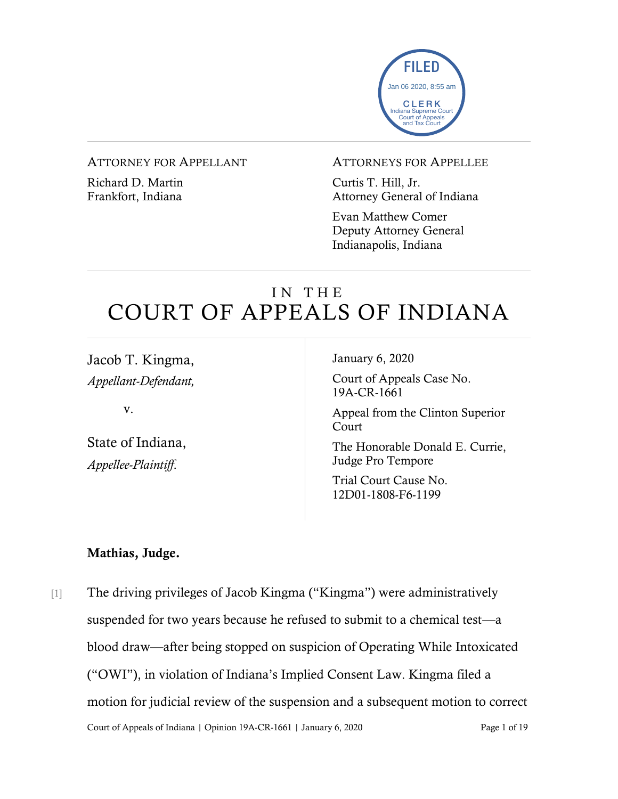

#### ATTORNEY FOR APPELLANT

Richard D. Martin Frankfort, Indiana

#### ATTORNEYS FOR APPELLEE

Curtis T. Hill, Jr. Attorney General of Indiana

Evan Matthew Comer Deputy Attorney General Indianapolis, Indiana

# IN THE COURT OF APPEALS OF INDIANA

Jacob T. Kingma, *Appellant-Defendant,*

v.

State of Indiana, *Appellee-Plaintiff*.

January 6, 2020

Court of Appeals Case No. 19A-CR-1661

Appeal from the Clinton Superior **Court** 

The Honorable Donald E. Currie, Judge Pro Tempore

Trial Court Cause No. 12D01-1808-F6-1199

#### Mathias, Judge.

Court of Appeals of Indiana | Opinion 19A-CR-1661 | January 6, 2020 Page 1 of 19 [1] The driving privileges of Jacob Kingma ("Kingma") were administratively suspended for two years because he refused to submit to a chemical test—a blood draw—after being stopped on suspicion of Operating While Intoxicated ("OWI"), in violation of Indiana's Implied Consent Law. Kingma filed a motion for judicial review of the suspension and a subsequent motion to correct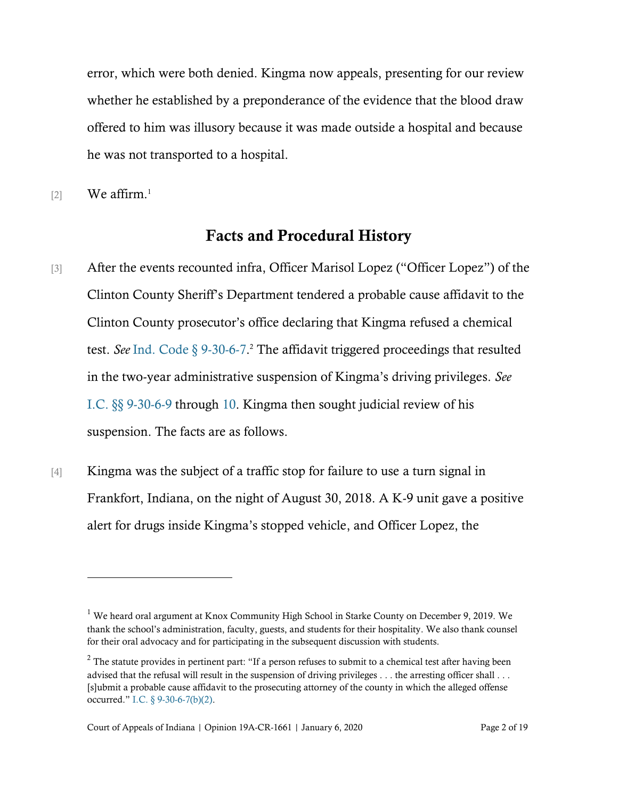error, which were both denied. Kingma now appeals, presenting for our review whether he established by a preponderance of the evidence that the blood draw offered to him was illusory because it was made outside a hospital and because he was not transported to a hospital.

 $[2]$  We affirm.<sup>1</sup>

### Facts and Procedural History

- [3] After the events recounted infra, Officer Marisol Lopez ("Officer Lopez") of the Clinton County Sheriff's Department tendered a probable cause affidavit to the Clinton County prosecutor's office declaring that Kingma refused a chemical test. *See* [Ind. Code § 9-30-6-7.](https://www.westlaw.com/Document/N4CF013A0D1A411E2BFD5CCFA125F1F0A/View/FullText.html?transitionType=Default&contextData=(sc.Default)&VR=3.0&RS=cblt1.0) <sup>2</sup> The affidavit triggered proceedings that resulted in the two-year administrative suspension of Kingma's driving privileges. *See*  [I.C. §§ 9-30-6-9](https://www.westlaw.com/Document/N498E43A016B511E5B8F1DA45FCB6D290/View/FullText.html?transitionType=Default&contextData=(sc.Default)&VR=3.0&RS=cblt1.0) through [10.](https://www.westlaw.com/Document/N9C9BF22080C511DB8132CD13D2280436/View/FullText.html?transitionType=Default&contextData=(sc.Default)&VR=3.0&RS=cblt1.0) Kingma then sought judicial review of his suspension. The facts are as follows.
- [4] Kingma was the subject of a traffic stop for failure to use a turn signal in Frankfort, Indiana, on the night of August 30, 2018. A K-9 unit gave a positive alert for drugs inside Kingma's stopped vehicle, and Officer Lopez, the

<sup>&</sup>lt;sup>1</sup> We heard oral argument at Knox Community High School in Starke County on December 9, 2019. We thank the school's administration, faculty, guests, and students for their hospitality. We also thank counsel for their oral advocacy and for participating in the subsequent discussion with students.

<sup>&</sup>lt;sup>2</sup> The statute provides in pertinent part: "If a person refuses to submit to a chemical test after having been advised that the refusal will result in the suspension of driving privileges . . . the arresting officer shall . . . [s]ubmit a probable cause affidavit to the prosecuting attorney of the county in which the alleged offense occurred." [I.C. § 9-30-6-7\(b\)\(2\).](https://www.westlaw.com/Document/N4CF013A0D1A411E2BFD5CCFA125F1F0A/View/FullText.html?transitionType=Default&contextData=(sc.Default)&VR=3.0&RS=cblt1.0)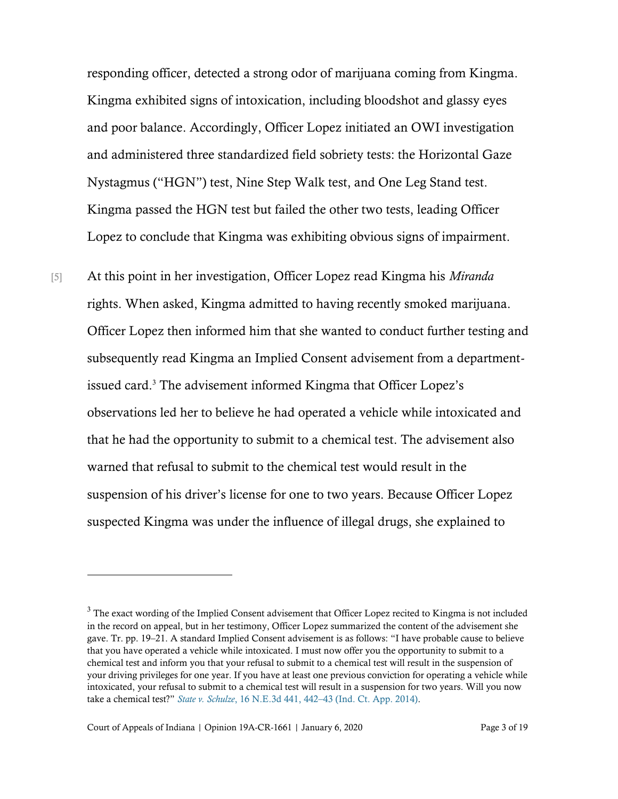responding officer, detected a strong odor of marijuana coming from Kingma. Kingma exhibited signs of intoxication, including bloodshot and glassy eyes and poor balance. Accordingly, Officer Lopez initiated an OWI investigation and administered three standardized field sobriety tests: the Horizontal Gaze Nystagmus ("HGN") test, Nine Step Walk test, and One Leg Stand test. Kingma passed the HGN test but failed the other two tests, leading Officer Lopez to conclude that Kingma was exhibiting obvious signs of impairment.

[5] At this point in her investigation, Officer Lopez read Kingma his *Miranda* rights. When asked, Kingma admitted to having recently smoked marijuana. Officer Lopez then informed him that she wanted to conduct further testing and subsequently read Kingma an Implied Consent advisement from a departmentissued card.<sup>3</sup> The advisement informed Kingma that Officer Lopez's observations led her to believe he had operated a vehicle while intoxicated and that he had the opportunity to submit to a chemical test. The advisement also warned that refusal to submit to the chemical test would result in the suspension of his driver's license for one to two years. Because Officer Lopez suspected Kingma was under the influence of illegal drugs, she explained to

<sup>&</sup>lt;sup>3</sup> The exact wording of the Implied Consent advisement that Officer Lopez recited to Kingma is not included in the record on appeal, but in her testimony, Officer Lopez summarized the content of the advisement she gave. Tr. pp. 19–21. A standard Implied Consent advisement is as follows: "I have probable cause to believe that you have operated a vehicle while intoxicated. I must now offer you the opportunity to submit to a chemical test and inform you that your refusal to submit to a chemical test will result in the suspension of your driving privileges for one year. If you have at least one previous conviction for operating a vehicle while intoxicated, your refusal to submit to a chemical test will result in a suspension for two years. Will you now take a chemical test?" *State v. Schulze*, 16 N.E.3d 441, 442–[43 \(Ind. Ct. App. 2014\).](https://www.westlaw.com/Document/Ie9ad92e32e0811e490d4edf60ce7d742/View/FullText.html?transitionType=Default&contextData=(sc.Default)&VR=3.0&RS=da3.0&fragmentIdentifier=co_pp_sp_7902_442)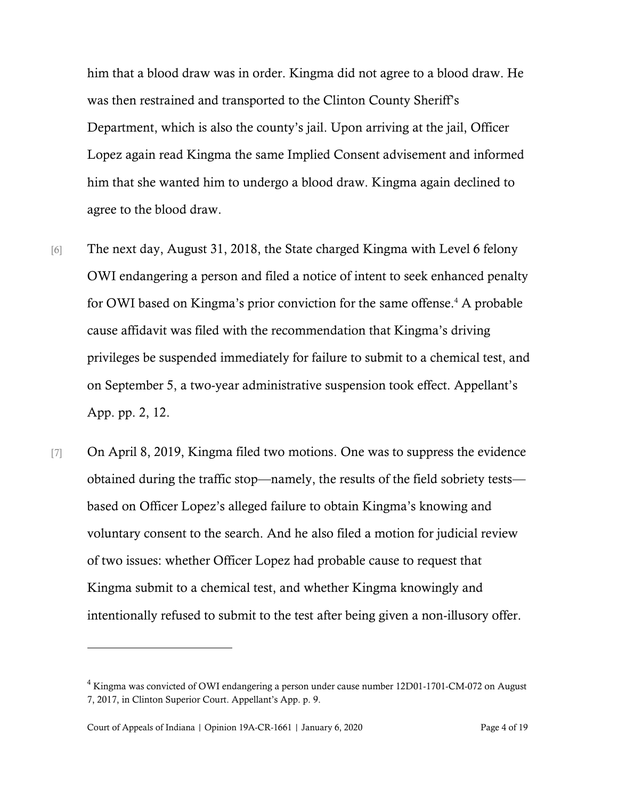him that a blood draw was in order. Kingma did not agree to a blood draw. He was then restrained and transported to the Clinton County Sheriff's Department, which is also the county's jail. Upon arriving at the jail, Officer Lopez again read Kingma the same Implied Consent advisement and informed him that she wanted him to undergo a blood draw. Kingma again declined to agree to the blood draw.

- [6] The next day, August 31, 2018, the State charged Kingma with Level 6 felony OWI endangering a person and filed a notice of intent to seek enhanced penalty for OWI based on Kingma's prior conviction for the same offense.<sup>4</sup> A probable cause affidavit was filed with the recommendation that Kingma's driving privileges be suspended immediately for failure to submit to a chemical test, and on September 5, a two-year administrative suspension took effect. Appellant's App. pp. 2, 12.
- [7] On April 8, 2019, Kingma filed two motions. One was to suppress the evidence obtained during the traffic stop—namely, the results of the field sobriety tests based on Officer Lopez's alleged failure to obtain Kingma's knowing and voluntary consent to the search. And he also filed a motion for judicial review of two issues: whether Officer Lopez had probable cause to request that Kingma submit to a chemical test, and whether Kingma knowingly and intentionally refused to submit to the test after being given a non-illusory offer.

<sup>&</sup>lt;sup>4</sup> Kingma was convicted of OWI endangering a person under cause number 12D01-1701-CM-072 on August 7, 2017, in Clinton Superior Court. Appellant's App. p. 9.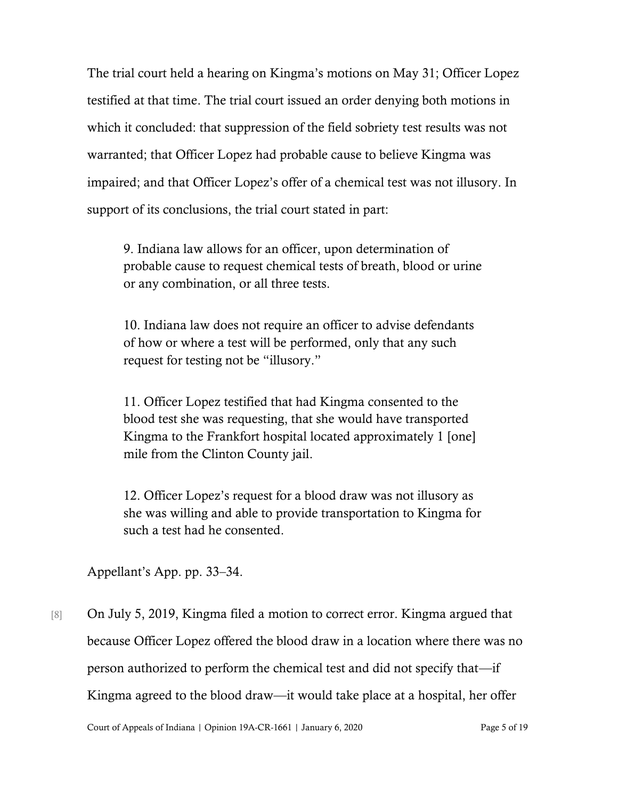The trial court held a hearing on Kingma's motions on May 31; Officer Lopez testified at that time. The trial court issued an order denying both motions in which it concluded: that suppression of the field sobriety test results was not warranted; that Officer Lopez had probable cause to believe Kingma was impaired; and that Officer Lopez's offer of a chemical test was not illusory. In support of its conclusions, the trial court stated in part:

9. Indiana law allows for an officer, upon determination of probable cause to request chemical tests of breath, blood or urine or any combination, or all three tests.

10. Indiana law does not require an officer to advise defendants of how or where a test will be performed, only that any such request for testing not be "illusory."

11. Officer Lopez testified that had Kingma consented to the blood test she was requesting, that she would have transported Kingma to the Frankfort hospital located approximately 1 [one] mile from the Clinton County jail.

12. Officer Lopez's request for a blood draw was not illusory as she was willing and able to provide transportation to Kingma for such a test had he consented.

Appellant's App. pp. 33–34.

[8] On July 5, 2019, Kingma filed a motion to correct error. Kingma argued that because Officer Lopez offered the blood draw in a location where there was no person authorized to perform the chemical test and did not specify that—if Kingma agreed to the blood draw—it would take place at a hospital, her offer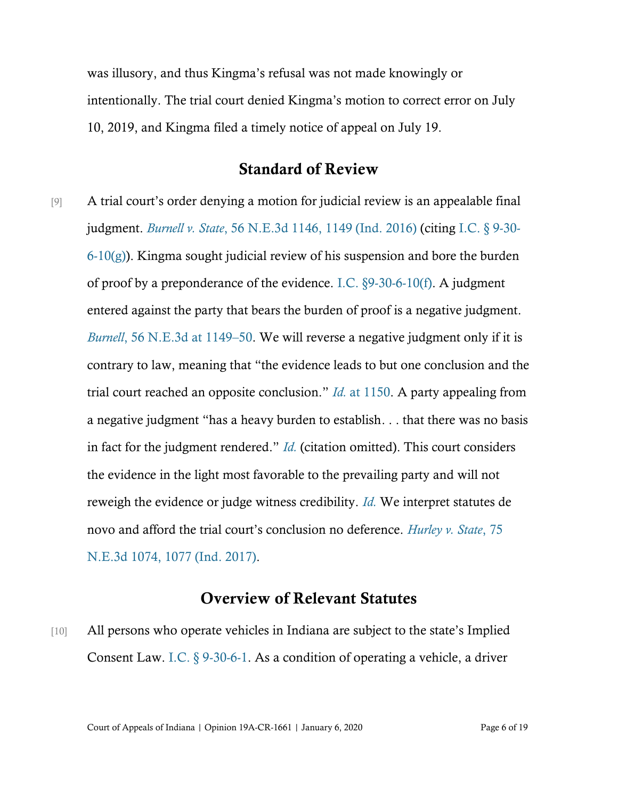was illusory, and thus Kingma's refusal was not made knowingly or intentionally. The trial court denied Kingma's motion to correct error on July 10, 2019, and Kingma filed a timely notice of appeal on July 19.

### Standard of Review

[9] A trial court's order denying a motion for judicial review is an appealable final judgment. *Burnell v. State*[, 56 N.E.3d 1146, 1149 \(Ind. 2016\)](https://www.westlaw.com/Document/If7c63c7c69c011e6a795ac035416da91/View/FullText.html?transitionType=Default&contextData=(sc.Default)&VR=3.0&RS=da3.0&fragmentIdentifier=co_pp_sp_7902_1149) (citing [I.C. § 9-30-](https://www.westlaw.com/Document/N9C9BF22080C511DB8132CD13D2280436/View/FullText.html?transitionType=Default&contextData=(sc.Default)&VR=3.0&RS=cblt1.0) [6-10\(g\)\)](https://www.westlaw.com/Document/N9C9BF22080C511DB8132CD13D2280436/View/FullText.html?transitionType=Default&contextData=(sc.Default)&VR=3.0&RS=cblt1.0). Kingma sought judicial review of his suspension and bore the burden of proof by a preponderance of the evidence. [I.C. §9-30-6-10\(f\).](https://www.westlaw.com/Document/N9C9BF22080C511DB8132CD13D2280436/View/FullText.html?transitionType=Default&contextData=(sc.Default)&VR=3.0&RS=cblt1.0) A judgment entered against the party that bears the burden of proof is a negative judgment. *Burnell*[, 56 N.E.3d at 1149](https://www.westlaw.com/Document/If7c63c7c69c011e6a795ac035416da91/View/FullText.html?transitionType=Default&contextData=(sc.Default)&VR=3.0&RS=da3.0&fragmentIdentifier=co_pp_sp_7902_1149)–50. We will reverse a negative judgment only if it is contrary to law, meaning that "the evidence leads to but one conclusion and the trial court reached an opposite conclusion." *Id.* [at 1150.](https://www.westlaw.com/Document/If7c63c7c69c011e6a795ac035416da91/View/FullText.html?transitionType=Default&contextData=(sc.Default)&VR=3.0&RS=da3.0&fragmentIdentifier=co_pp_sp_7902_1150) A party appealing from a negative judgment "has a heavy burden to establish. . . that there was no basis in fact for the judgment rendered." *[Id.](https://www.westlaw.com/Document/If7c63c7c69c011e6a795ac035416da91/View/FullText.html?transitionType=Default&contextData=(sc.Default)&VR=3.0&RS=da3.0&fragmentIdentifier=co_pp_sp_7902_1150)* (citation omitted). This court considers the evidence in the light most favorable to the prevailing party and will not reweigh the evidence or judge witness credibility. *[Id.](https://www.westlaw.com/Document/If7c63c7c69c011e6a795ac035416da91/View/FullText.html?transitionType=Default&contextData=(sc.Default)&VR=3.0&RS=da3.0&fragmentIdentifier=co_pp_sp_7902_1150)* We interpret statutes de novo and afford the trial court's conclusion no deference. *[Hurley v. State](https://www.westlaw.com/Document/Ie30cc9e0469f11e7bb97edaf3db64019/View/FullText.html?transitionType=Default&contextData=(sc.Default)&VR=3.0&RS=da3.0&fragmentIdentifier=co_pp_sp_7902_1077)*, 75 [N.E.3d 1074, 1077 \(Ind. 2017\).](https://www.westlaw.com/Document/Ie30cc9e0469f11e7bb97edaf3db64019/View/FullText.html?transitionType=Default&contextData=(sc.Default)&VR=3.0&RS=da3.0&fragmentIdentifier=co_pp_sp_7902_1077)

## Overview of Relevant Statutes

[10] All persons who operate vehicles in Indiana are subject to the state's Implied Consent Law. I.C. [§ 9-30-6-1.](https://www.westlaw.com/Document/N8EA5BA2080C511DB8132CD13D2280436/View/FullText.html?transitionType=Default&contextData=(sc.Default)&VR=3.0&RS=da3.0) As a condition of operating a vehicle, a driver

Court of Appeals of Indiana | Opinion 19A-CR-1661 | January 6, 2020 Page 6 of 19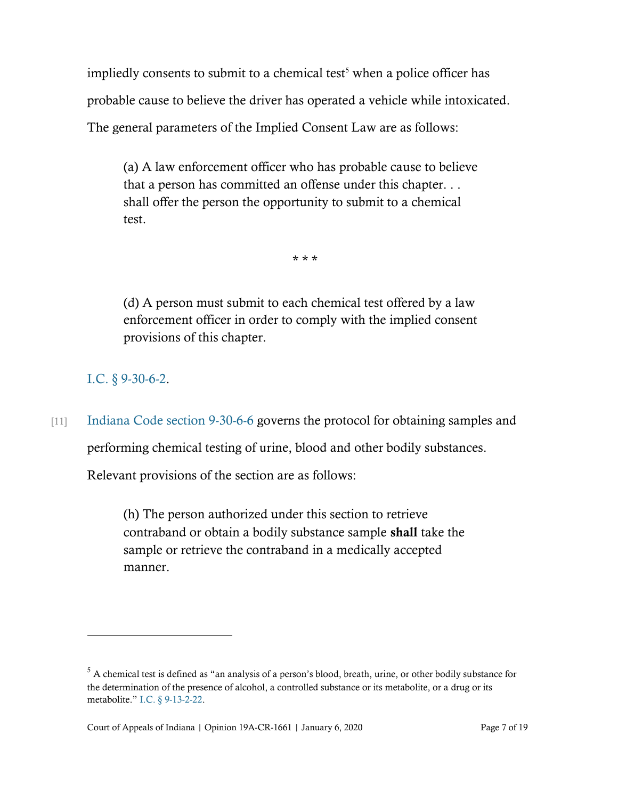impliedly consents to submit to a chemical test<sup>5</sup> when a police officer has probable cause to believe the driver has operated a vehicle while intoxicated. The general parameters of the Implied Consent Law are as follows:

(a) A law enforcement officer who has probable cause to believe that a person has committed an offense under this chapter. . . shall offer the person the opportunity to submit to a chemical test.

\* \* \*

(d) A person must submit to each chemical test offered by a law enforcement officer in order to comply with the implied consent provisions of this chapter.

I.C. [§ 9-30-6-2.](https://www.westlaw.com/Document/N906FCBC080C511DB8132CD13D2280436/View/FullText.html?transitionType=Default&contextData=(sc.Default)&VR=3.0&RS=da3.0)

[11] [Indiana Code section 9-30-6-6](https://www.westlaw.com/Document/N5C12FD50918F11E9AF2D81476975F188/View/FullText.html?transitionType=Default&contextData=(sc.Default)&VR=3.0&RS=da3.0) governs the protocol for obtaining samples and

performing chemical testing of urine, blood and other bodily substances.

Relevant provisions of the section are as follows:

(h) The person authorized under this section to retrieve contraband or obtain a bodily substance sample shall take the sample or retrieve the contraband in a medically accepted manner.

<sup>5</sup> A chemical test is defined as "an analysis of a person's blood, breath, urine, or other bodily substance for the determination of the presence of alcohol, a controlled substance or its metabolite, or a drug or its metabolite." [I.C. § 9-13-2-22.](https://www.westlaw.com/Document/N93A36A6080C311DB8132CD13D2280436/View/FullText.html?transitionType=Default&contextData=(sc.Default)&VR=3.0&RS=cblt1.0)

Court of Appeals of Indiana | Opinion 19A-CR-1661 | January 6, 2020 Page 7 of 19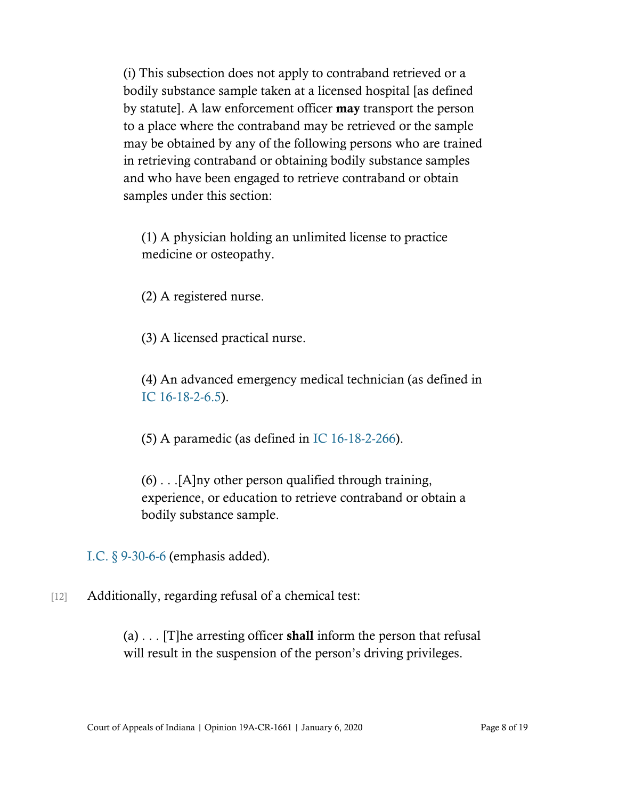(i) This subsection does not apply to contraband retrieved or a bodily substance sample taken at a licensed hospital [as defined by statute]. A law enforcement officer may transport the person to a place where the contraband may be retrieved or the sample may be obtained by any of the following persons who are trained in retrieving contraband or obtaining bodily substance samples and who have been engaged to retrieve contraband or obtain samples under this section:

(1) A physician holding an unlimited license to practice medicine or osteopathy.

(2) A registered nurse.

(3) A licensed practical nurse.

(4) An advanced emergency medical technician (as defined in [IC 16-18-2-6.5\)](https://www.westlaw.com/Document/NF3F73DE0A09A11E183F7C076EF385880/View/FullText.html?transitionType=Default&contextData=(sc.Default)&VR=3.0&RS=cblt1.0).

(5) A paramedic (as defined in [IC 16-18-2-266\)](https://www.westlaw.com/Document/N13819520A09B11E19846CA58CD3F0359/View/FullText.html?transitionType=Default&contextData=(sc.Default)&VR=3.0&RS=cblt1.0).

 $(6)$ ... [A]ny other person qualified through training, experience, or education to retrieve contraband or obtain a bodily substance sample.

[I.C. § 9-30-6-6](https://www.westlaw.com/Document/N5C12FD50918F11E9AF2D81476975F188/View/FullText.html?transitionType=Default&contextData=(sc.Default)&VR=3.0&RS=da3.0) (emphasis added).

[12] Additionally, regarding refusal of a chemical test:

(a)  $\ldots$  [T] he arresting officer **shall** inform the person that refusal will result in the suspension of the person's driving privileges.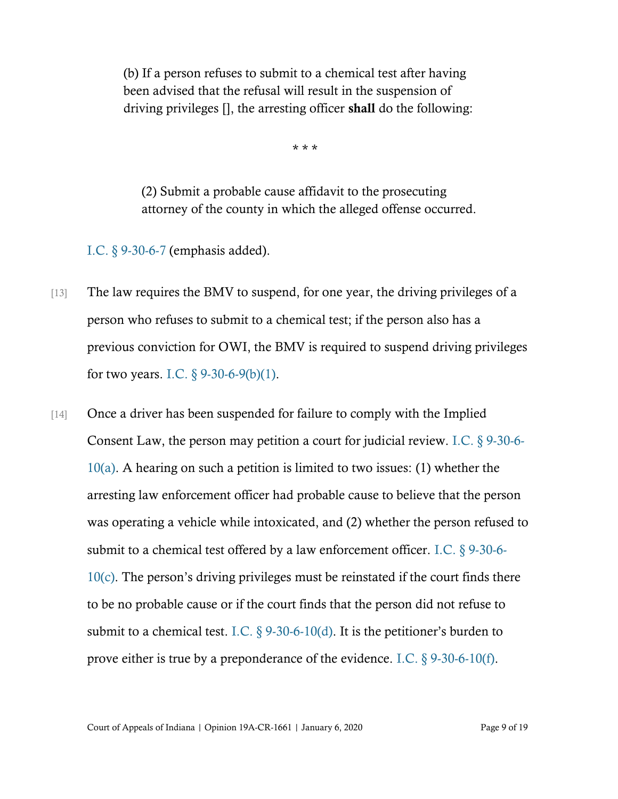(b) If a person refuses to submit to a chemical test after having been advised that the refusal will result in the suspension of driving privileges [], the arresting officer shall do the following:

\* \* \*

(2) Submit a probable cause affidavit to the prosecuting attorney of the county in which the alleged offense occurred.

[I.C. § 9-30-6-7](https://www.westlaw.com/Document/N4CF013A0D1A411E2BFD5CCFA125F1F0A/View/FullText.html?transitionType=Default&contextData=(sc.Default)&VR=3.0&RS=cblt1.0) (emphasis added).

- [13] The law requires the BMV to suspend, for one year, the driving privileges of a person who refuses to submit to a chemical test; if the person also has a previous conviction for OWI, the BMV is required to suspend driving privileges for two years. I.C.  $\S$  9-30-6-9(b)(1).
- [14] Once a driver has been suspended for failure to comply with the Implied Consent Law, the person may petition a court for judicial review. [I.C. § 9-30-6-](https://www.westlaw.com/Document/N9C9BF22080C511DB8132CD13D2280436/View/FullText.html?transitionType=Default&contextData=(sc.Default)&VR=3.0&RS=cblt1.0) [10\(a\).](https://www.westlaw.com/Document/N9C9BF22080C511DB8132CD13D2280436/View/FullText.html?transitionType=Default&contextData=(sc.Default)&VR=3.0&RS=cblt1.0) A hearing on such a petition is limited to two issues: (1) whether the arresting law enforcement officer had probable cause to believe that the person was operating a vehicle while intoxicated, and (2) whether the person refused to submit to a chemical test offered by a law enforcement officer. [I.C. § 9-30-6-](https://www.westlaw.com/Document/N9C9BF22080C511DB8132CD13D2280436/View/FullText.html?transitionType=Default&contextData=(sc.Default)&VR=3.0&RS=cblt1.0) [10\(c\)](https://www.westlaw.com/Document/N9C9BF22080C511DB8132CD13D2280436/View/FullText.html?transitionType=Default&contextData=(sc.Default)&VR=3.0&RS=cblt1.0). The person's driving privileges must be reinstated if the court finds there to be no probable cause or if the court finds that the person did not refuse to submit to a chemical test. I.C.  $\S$  9-30-6-10(d). It is the petitioner's burden to prove either is true by a preponderance of the evidence. [I.C. § 9-30-6-10\(f\).](https://www.westlaw.com/Document/N9C9BF22080C511DB8132CD13D2280436/View/FullText.html?transitionType=Default&contextData=(sc.Default)&VR=3.0&RS=cblt1.0)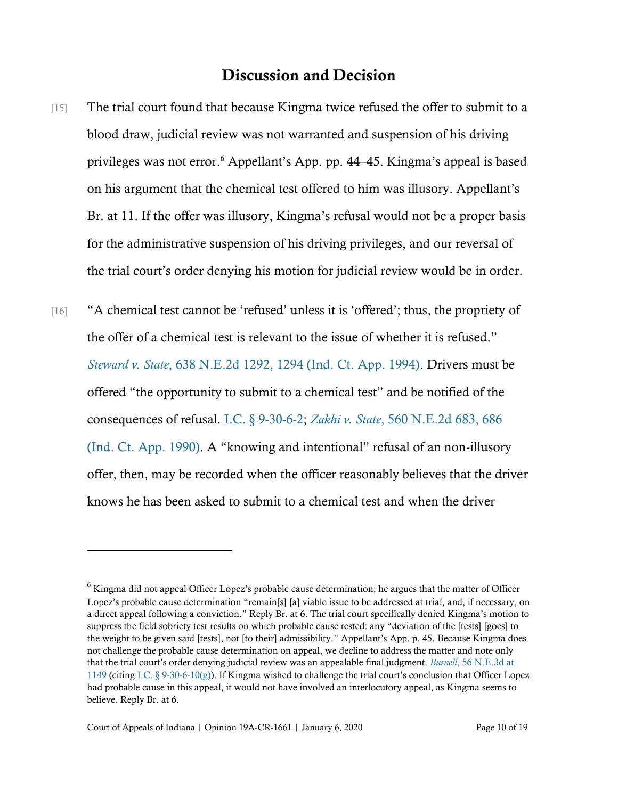### Discussion and Decision

[15] The trial court found that because Kingma twice refused the offer to submit to a blood draw, judicial review was not warranted and suspension of his driving privileges was not error.<sup>6</sup> Appellant's App. pp. 44–45. Kingma's appeal is based on his argument that the chemical test offered to him was illusory. Appellant's Br. at 11. If the offer was illusory, Kingma's refusal would not be a proper basis for the administrative suspension of his driving privileges, and our reversal of the trial court's order denying his motion for judicial review would be in order.

[16] "A chemical test cannot be 'refused' unless it is 'offered'; thus, the propriety of the offer of a chemical test is relevant to the issue of whether it is refused." *Steward v. State*[, 638 N.E.2d 1292, 1294 \(Ind. Ct. App. 1994\).](https://www.westlaw.com/Document/If271e6b9d3e611d9bf60c1d57ebc853e/View/FullText.html?transitionType=Default&contextData=(sc.Default)&VR=3.0&RS=da3.0&fragmentIdentifier=co_pp_sp_578_1294) Drivers must be offered "the opportunity to submit to a chemical test" and be notified of the consequences of refusal. [I.C. § 9-30-6-2;](https://www.westlaw.com/Document/N906FCBC080C511DB8132CD13D2280436/View/FullText.html?transitionType=Default&contextData=(sc.Default)&VR=3.0&RS=da3.0) *Zakhi v. State*[, 560 N.E.2d 683, 686](https://www.westlaw.com/Document/I4dbc1cb8d45611d9bf60c1d57ebc853e/View/FullText.html?transitionType=Default&contextData=(sc.Default)&VR=3.0&RS=da3.0&fragmentIdentifier=co_pp_sp_578_686)  [\(Ind. Ct. App. 1990\)](https://www.westlaw.com/Document/I4dbc1cb8d45611d9bf60c1d57ebc853e/View/FullText.html?transitionType=Default&contextData=(sc.Default)&VR=3.0&RS=da3.0&fragmentIdentifier=co_pp_sp_578_686). A "knowing and intentional" refusal of an non-illusory offer, then, may be recorded when the officer reasonably believes that the driver knows he has been asked to submit to a chemical test and when the driver

 $6$  Kingma did not appeal Officer Lopez's probable cause determination; he argues that the matter of Officer Lopez's probable cause determination "remain[s] [a] viable issue to be addressed at trial, and, if necessary, on a direct appeal following a conviction." Reply Br. at 6. The trial court specifically denied Kingma's motion to suppress the field sobriety test results on which probable cause rested: any "deviation of the [tests] [goes] to the weight to be given said [tests], not [to their] admissibility." Appellant's App. p. 45. Because Kingma does not challenge the probable cause determination on appeal, we decline to address the matter and note only that the trial court's order denying judicial review was an appealable final judgment. *Burnell*[, 56 N.E.3d at](https://www.westlaw.com/Document/If7c63c7c69c011e6a795ac035416da91/View/FullText.html?transitionType=Default&contextData=(sc.Default)&VR=3.0&RS=da3.0&fragmentIdentifier=co_pp_sp_7902_1149)  [1149](https://www.westlaw.com/Document/If7c63c7c69c011e6a795ac035416da91/View/FullText.html?transitionType=Default&contextData=(sc.Default)&VR=3.0&RS=da3.0&fragmentIdentifier=co_pp_sp_7902_1149) (citing [I.C. § 9-30-6-10\(g\)\)](https://www.westlaw.com/Document/N9C9BF22080C511DB8132CD13D2280436/View/FullText.html?transitionType=Default&contextData=(sc.Default)&VR=3.0&RS=cblt1.0). If Kingma wished to challenge the trial court's conclusion that Officer Lopez had probable cause in this appeal, it would not have involved an interlocutory appeal, as Kingma seems to believe. Reply Br. at 6.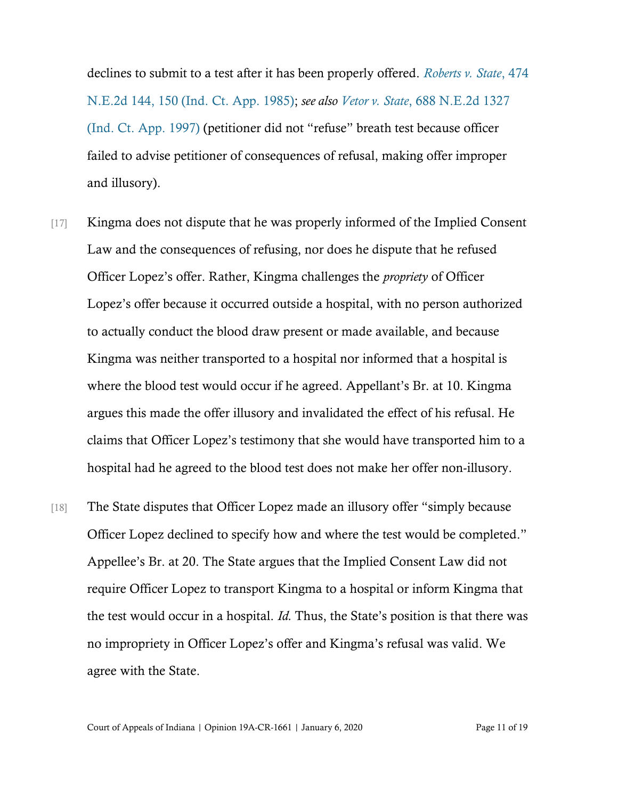declines to submit to a test after it has been properly offered. *[Roberts v. State](https://www.westlaw.com/Document/I2c9d6669d34411d9a489ee624f1f6e1a/View/FullText.html?transitionType=Default&contextData=(sc.Default)&VR=3.0&RS=da3.0&fragmentIdentifier=co_pp_sp_578_150)*, 474 [N.E.2d 144, 150 \(Ind. Ct. App. 1985\);](https://www.westlaw.com/Document/I2c9d6669d34411d9a489ee624f1f6e1a/View/FullText.html?transitionType=Default&contextData=(sc.Default)&VR=3.0&RS=da3.0&fragmentIdentifier=co_pp_sp_578_150) *see also Vetor v. State*[, 688 N.E.2d 1327](https://www.westlaw.com/Document/I89709309d3c311d99439b076ef9ec4de/View/FullText.html?transitionType=Default&contextData=(sc.Default)&VR=3.0&RS=da3.0)  [\(Ind. Ct. App. 1997\)](https://www.westlaw.com/Document/I89709309d3c311d99439b076ef9ec4de/View/FullText.html?transitionType=Default&contextData=(sc.Default)&VR=3.0&RS=da3.0) (petitioner did not "refuse" breath test because officer failed to advise petitioner of consequences of refusal, making offer improper and illusory).

- [17] Kingma does not dispute that he was properly informed of the Implied Consent Law and the consequences of refusing, nor does he dispute that he refused Officer Lopez's offer. Rather, Kingma challenges the *propriety* of Officer Lopez's offer because it occurred outside a hospital, with no person authorized to actually conduct the blood draw present or made available, and because Kingma was neither transported to a hospital nor informed that a hospital is where the blood test would occur if he agreed. Appellant's Br. at 10. Kingma argues this made the offer illusory and invalidated the effect of his refusal. He claims that Officer Lopez's testimony that she would have transported him to a hospital had he agreed to the blood test does not make her offer non-illusory.
- [18] The State disputes that Officer Lopez made an illusory offer "simply because Officer Lopez declined to specify how and where the test would be completed." Appellee's Br. at 20. The State argues that the Implied Consent Law did not require Officer Lopez to transport Kingma to a hospital or inform Kingma that the test would occur in a hospital. *Id.* Thus, the State's position is that there was no impropriety in Officer Lopez's offer and Kingma's refusal was valid. We agree with the State.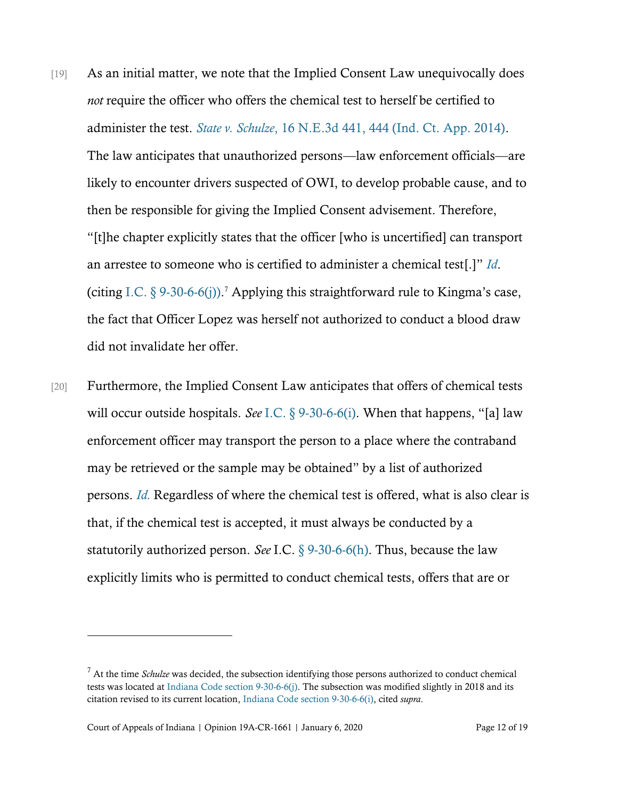- [19] As an initial matter, we note that the Implied Consent Law unequivocally does *not* require the officer who offers the chemical test to herself be certified to administer the test. *State v. Schulze*[, 16 N.E.3d 441, 444 \(Ind. Ct. App. 2014\).](https://www.westlaw.com/Document/Ie9ad92e32e0811e490d4edf60ce7d742/View/FullText.html?transitionType=Default&contextData=(sc.Default)&VR=3.0&RS=da3.0&fragmentIdentifier=co_pp_sp_7902_444) The law anticipates that unauthorized persons—law enforcement officials—are likely to encounter drivers suspected of OWI, to develop probable cause, and to then be responsible for giving the Implied Consent advisement. Therefore, "[t]he chapter explicitly states that the officer [who is uncertified] can transport an arrestee to someone who is certified to administer a chemical test[.]" *[Id](https://www.westlaw.com/Document/Ie9ad92e32e0811e490d4edf60ce7d742/View/FullText.html?transitionType=Default&contextData=(sc.Default)&VR=3.0&RS=da3.0&fragmentIdentifier=co_pp_sp_7902_444)*. (citing [I.C. § 9-30-6-6\(j\)\)](https://www.westlaw.com/Document/N5C12FD50918F11E9AF2D81476975F188/View/FullText.html?transitionType=Default&contextData=(sc.Default)&VR=3.0&RS=da3.0). <sup>7</sup> Applying this straightforward rule to Kingma's case, the fact that Officer Lopez was herself not authorized to conduct a blood draw did not invalidate her offer.
- [20] Furthermore, the Implied Consent Law anticipates that offers of chemical tests will occur outside hospitals. *See* [I.C. § 9-30-6-6\(i\)](https://www.westlaw.com/Document/N5C12FD50918F11E9AF2D81476975F188/View/FullText.html?transitionType=Default&contextData=(sc.Default)&VR=3.0&RS=da3.0). When that happens, "[a] law enforcement officer may transport the person to a place where the contraband may be retrieved or the sample may be obtained" by a list of authorized persons. *[Id.](https://www.westlaw.com/Document/N5C12FD50918F11E9AF2D81476975F188/View/FullText.html?transitionType=Default&contextData=(sc.Default)&VR=3.0&RS=da3.0)* Regardless of where the chemical test is offered, what is also clear is that, if the chemical test is accepted, it must always be conducted by a statutorily authorized person. *See* I.C. [§ 9-30-6-6\(h\).](https://www.westlaw.com/Document/N5C12FD50918F11E9AF2D81476975F188/View/FullText.html?transitionType=Default&contextData=(sc.Default)&VR=3.0&RS=da3.0) Thus, because the law explicitly limits who is permitted to conduct chemical tests, offers that are or

<sup>7</sup> At the time *Schulze* was decided, the subsection identifying those persons authorized to conduct chemical tests was located a[t Indiana Code section 9-30-6-6\(j\).](https://www.westlaw.com/Document/N5C12FD50918F11E9AF2D81476975F188/View/FullText.html?transitionType=Default&contextData=(sc.Default)&VR=3.0&RS=da3.0) The subsection was modified slightly in 2018 and its citation revised to its current location[, Indiana Code section 9-30-6-6\(i\),](https://www.westlaw.com/Document/N5C12FD50918F11E9AF2D81476975F188/View/FullText.html?transitionType=Default&contextData=(sc.Default)&VR=3.0&RS=da3.0) cited *supra*.

Court of Appeals of Indiana | Opinion 19A-CR-1661 | January 6, 2020 Page 12 of 19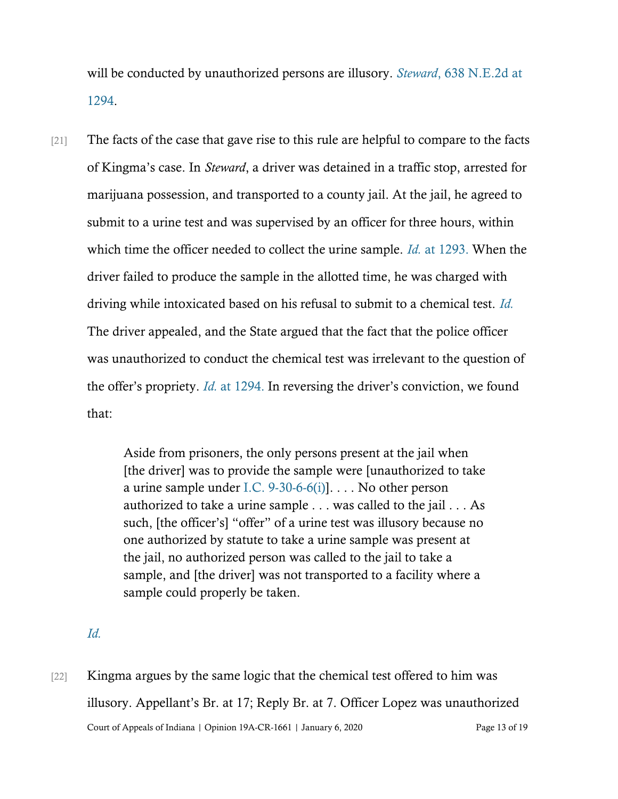will be conducted by unauthorized persons are illusory. *Steward*[, 638 N.E.2d](https://www.westlaw.com/Document/If271e6b9d3e611d9bf60c1d57ebc853e/View/FullText.html?transitionType=Default&contextData=(sc.Default)&VR=3.0&RS=da3.0&fragmentIdentifier=co_pp_sp_578_1294) at [1294.](https://www.westlaw.com/Document/If271e6b9d3e611d9bf60c1d57ebc853e/View/FullText.html?transitionType=Default&contextData=(sc.Default)&VR=3.0&RS=da3.0&fragmentIdentifier=co_pp_sp_578_1294)

[21] The facts of the case that gave rise to this rule are helpful to compare to the facts of Kingma's case. In *Steward*, a driver was detained in a traffic stop, arrested for marijuana possession, and transported to a county jail. At the jail, he agreed to submit to a urine test and was supervised by an officer for three hours, within which time the officer needed to collect the urine sample. *Id.* [at 1293.](https://www.westlaw.com/Document/If271e6b9d3e611d9bf60c1d57ebc853e/View/FullText.html?transitionType=Default&contextData=(sc.Default)&VR=3.0&RS=da3.0&fragmentIdentifier=co_pp_sp_578_1293) When the driver failed to produce the sample in the allotted time, he was charged with driving while intoxicated based on his refusal to submit to a chemical test. *[Id.](https://www.westlaw.com/Document/If271e6b9d3e611d9bf60c1d57ebc853e/View/FullText.html?transitionType=Default&contextData=(sc.Default)&VR=3.0&RS=da3.0&fragmentIdentifier=co_pp_sp_578_1293)* The driver appealed, and the State argued that the fact that the police officer was unauthorized to conduct the chemical test was irrelevant to the question of the offer's propriety. *Id.* [at 1294.](https://www.westlaw.com/Document/If271e6b9d3e611d9bf60c1d57ebc853e/View/FullText.html?transitionType=Default&contextData=(sc.Default)&VR=3.0&RS=da3.0&fragmentIdentifier=co_pp_sp_578_1294) In reversing the driver's conviction, we found that:

> Aside from prisoners, the only persons present at the jail when [the driver] was to provide the sample were [unauthorized to take a urine sample under [I.C. 9-30-6-6\(i\)\]](https://www.westlaw.com/Document/N5C12FD50918F11E9AF2D81476975F188/View/FullText.html?transitionType=Default&contextData=(sc.Default)&VR=3.0&RS=da3.0). . . . No other person authorized to take a urine sample . . . was called to the jail . . . As such, [the officer's] "offer" of a urine test was illusory because no one authorized by statute to take a urine sample was present at the jail, no authorized person was called to the jail to take a sample, and [the driver] was not transported to a facility where a sample could properly be taken.

- *[Id.](https://www.westlaw.com/Document/If271e6b9d3e611d9bf60c1d57ebc853e/View/FullText.html?transitionType=Default&contextData=(sc.Default)&VR=3.0&RS=da3.0&fragmentIdentifier=co_pp_sp_578_1294)*
- Court of Appeals of Indiana | Opinion 19A-CR-1661 | January 6, 2020 Page 13 of 19 [22] Kingma argues by the same logic that the chemical test offered to him was illusory. Appellant's Br. at 17; Reply Br. at 7. Officer Lopez was unauthorized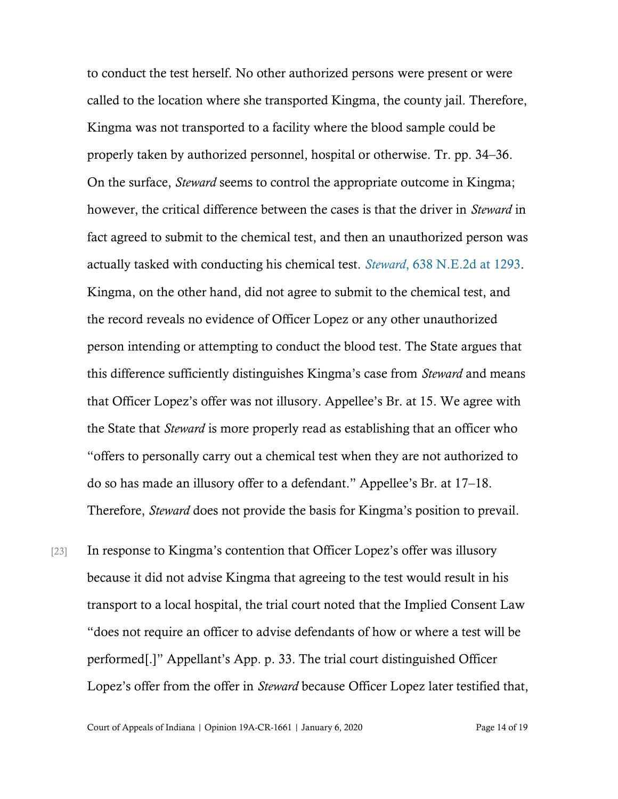to conduct the test herself. No other authorized persons were present or were called to the location where she transported Kingma, the county jail. Therefore, Kingma was not transported to a facility where the blood sample could be properly taken by authorized personnel, hospital or otherwise. Tr. pp. 34–36. On the surface, *Steward* seems to control the appropriate outcome in Kingma; however, the critical difference between the cases is that the driver in *Steward* in fact agreed to submit to the chemical test, and then an unauthorized person was actually tasked with conducting his chemical test. *Steward*[, 638 N.E.2d at 1293.](https://www.westlaw.com/Document/If271e6b9d3e611d9bf60c1d57ebc853e/View/FullText.html?transitionType=Default&contextData=(sc.Default)&VR=3.0&RS=da3.0&fragmentIdentifier=co_pp_sp_578_1293) Kingma, on the other hand, did not agree to submit to the chemical test, and the record reveals no evidence of Officer Lopez or any other unauthorized person intending or attempting to conduct the blood test. The State argues that this difference sufficiently distinguishes Kingma's case from *Steward* and means that Officer Lopez's offer was not illusory. Appellee's Br. at 15. We agree with the State that *Steward* is more properly read as establishing that an officer who "offers to personally carry out a chemical test when they are not authorized to do so has made an illusory offer to a defendant." Appellee's Br. at 17–18. Therefore, *Steward* does not provide the basis for Kingma's position to prevail.

[23] In response to Kingma's contention that Officer Lopez's offer was illusory because it did not advise Kingma that agreeing to the test would result in his transport to a local hospital, the trial court noted that the Implied Consent Law "does not require an officer to advise defendants of how or where a test will be performed[.]" Appellant's App. p. 33. The trial court distinguished Officer Lopez's offer from the offer in *Steward* because Officer Lopez later testified that,

Court of Appeals of Indiana | Opinion 19A-CR-1661 | January 6, 2020 Page 14 of 19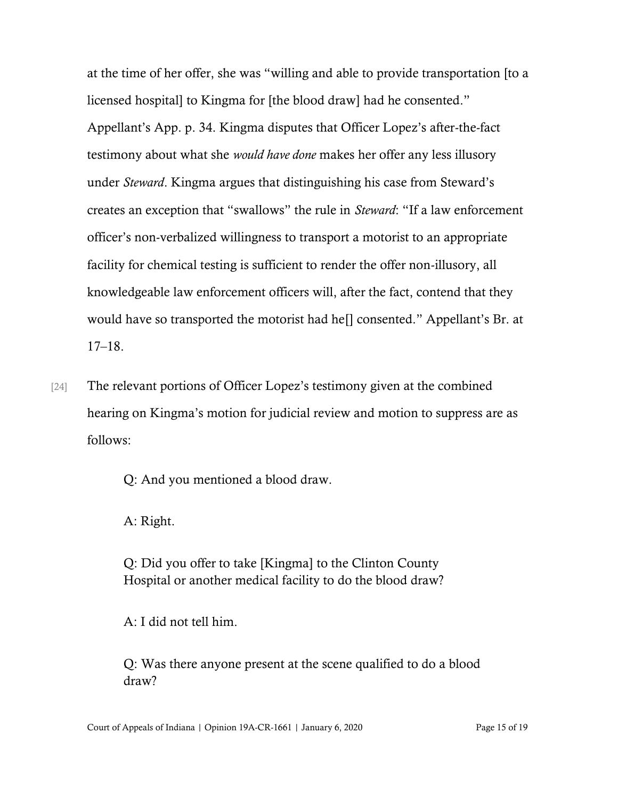at the time of her offer, she was "willing and able to provide transportation [to a licensed hospital] to Kingma for [the blood draw] had he consented." Appellant's App. p. 34. Kingma disputes that Officer Lopez's after-the-fact testimony about what she *would have done* makes her offer any less illusory under *Steward*. Kingma argues that distinguishing his case from Steward's creates an exception that "swallows" the rule in *Steward*: "If a law enforcement officer's non-verbalized willingness to transport a motorist to an appropriate facility for chemical testing is sufficient to render the offer non-illusory, all knowledgeable law enforcement officers will, after the fact, contend that they would have so transported the motorist had he[] consented." Appellant's Br. at 17–18.

[24] The relevant portions of Officer Lopez's testimony given at the combined hearing on Kingma's motion for judicial review and motion to suppress are as follows:

Q: And you mentioned a blood draw.

A: Right.

Q: Did you offer to take [Kingma] to the Clinton County Hospital or another medical facility to do the blood draw?

A: I did not tell him.

Q: Was there anyone present at the scene qualified to do a blood draw?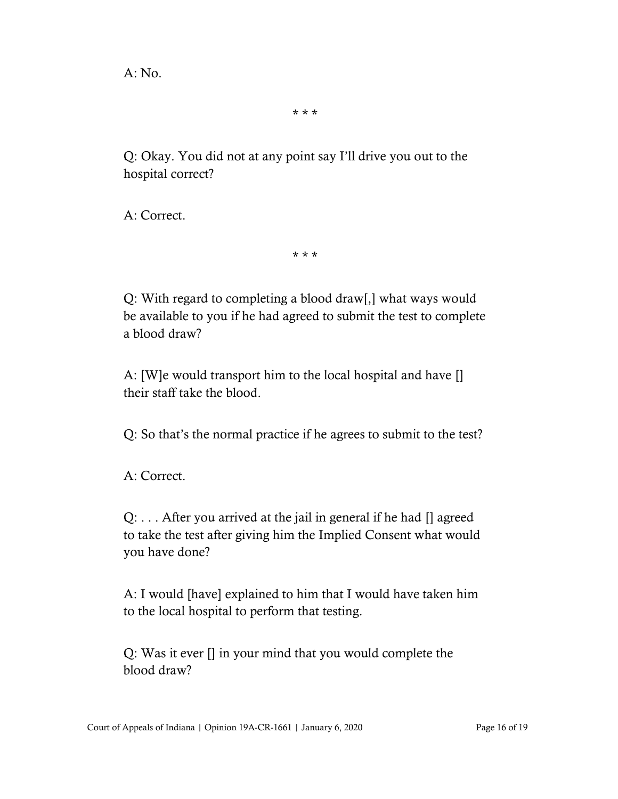$A: No.$ 

\* \* \*

Q: Okay. You did not at any point say I'll drive you out to the hospital correct?

A: Correct.

\* \* \*

Q: With regard to completing a blood draw[,] what ways would be available to you if he had agreed to submit the test to complete a blood draw?

A: [W]e would transport him to the local hospital and have [] their staff take the blood.

Q: So that's the normal practice if he agrees to submit to the test?

A: Correct.

Q: . . . After you arrived at the jail in general if he had [] agreed to take the test after giving him the Implied Consent what would you have done?

A: I would [have] explained to him that I would have taken him to the local hospital to perform that testing.

Q: Was it ever [] in your mind that you would complete the blood draw?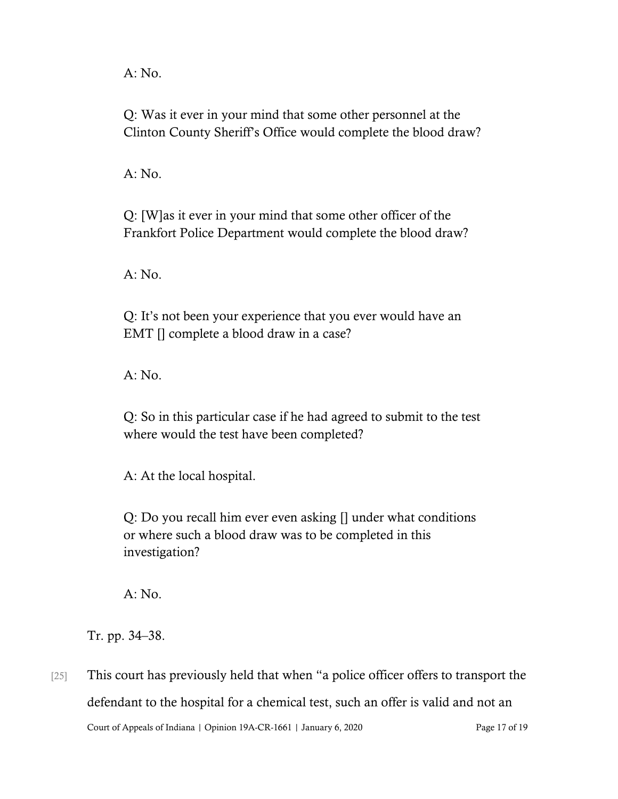A: No.

Q: Was it ever in your mind that some other personnel at the Clinton County Sheriff's Office would complete the blood draw?

 $A: No.$ 

Q: [W]as it ever in your mind that some other officer of the Frankfort Police Department would complete the blood draw?

A: No.

Q: It's not been your experience that you ever would have an EMT [] complete a blood draw in a case?

A: No.

Q: So in this particular case if he had agreed to submit to the test where would the test have been completed?

A: At the local hospital.

Q: Do you recall him ever even asking [] under what conditions or where such a blood draw was to be completed in this investigation?

A: No.

Tr. pp. 34–38.

Court of Appeals of Indiana | Opinion 19A-CR-1661 | January 6, 2020 Page 17 of 19 [25] This court has previously held that when "a police officer offers to transport the defendant to the hospital for a chemical test, such an offer is valid and not an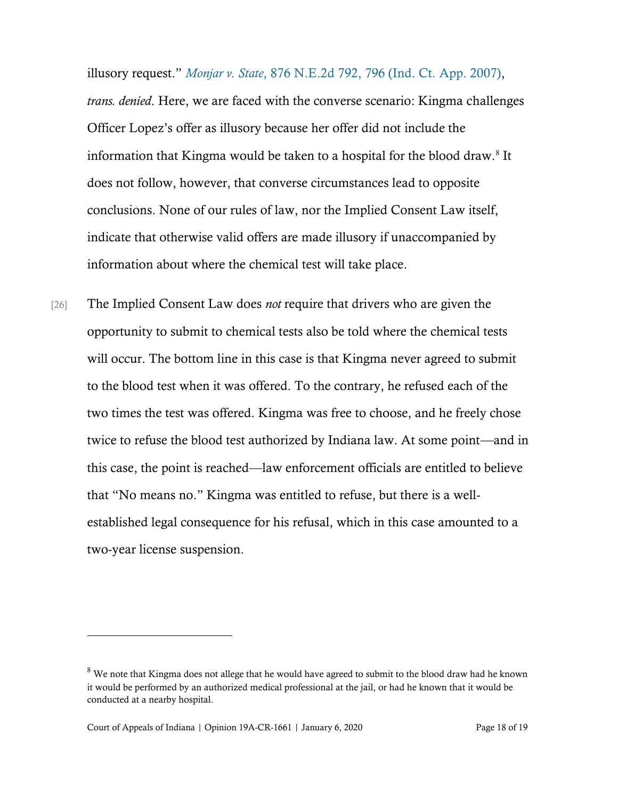illusory request." *Monjar v. State*[, 876 N.E.2d 792, 796](https://www.westlaw.com/Document/Ie5258965986a11dcbd4c839f532b53c5/View/FullText.html?transitionType=Default&contextData=(sc.Default)&VR=3.0&RS=da3.0&fragmentIdentifier=co_pp_sp_578_796) (Ind. Ct. App. 2007), *trans. denied*. Here, we are faced with the converse scenario: Kingma challenges Officer Lopez's offer as illusory because her offer did not include the information that Kingma would be taken to a hospital for the blood draw.<sup>8</sup> It does not follow, however, that converse circumstances lead to opposite conclusions. None of our rules of law, nor the Implied Consent Law itself, indicate that otherwise valid offers are made illusory if unaccompanied by information about where the chemical test will take place.

[26] The Implied Consent Law does *not* require that drivers who are given the opportunity to submit to chemical tests also be told where the chemical tests will occur. The bottom line in this case is that Kingma never agreed to submit to the blood test when it was offered. To the contrary, he refused each of the two times the test was offered. Kingma was free to choose, and he freely chose twice to refuse the blood test authorized by Indiana law. At some point—and in this case, the point is reached—law enforcement officials are entitled to believe that "No means no." Kingma was entitled to refuse, but there is a wellestablished legal consequence for his refusal, which in this case amounted to a two-year license suspension.

<sup>&</sup>lt;sup>8</sup> We note that Kingma does not allege that he would have agreed to submit to the blood draw had he known it would be performed by an authorized medical professional at the jail, or had he known that it would be conducted at a nearby hospital.

Court of Appeals of Indiana | Opinion 19A-CR-1661 | January 6, 2020 Page 18 of 19